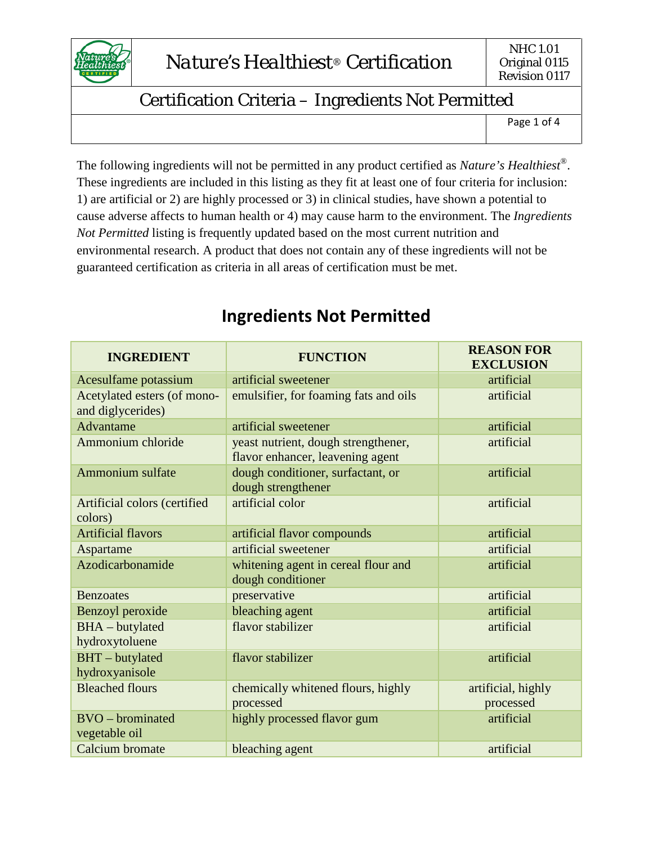

Page 1 of 4

The following ingredients will not be permitted in any product certified as *Nature's Healthiest®*. These ingredients are included in this listing as they fit at least one of four criteria for inclusion: 1) are artificial or 2) are highly processed or 3) in clinical studies, have shown a potential to cause adverse affects to human health or 4) may cause harm to the environment. The *Ingredients Not Permitted* listing is frequently updated based on the most current nutrition and environmental research. A product that does not contain any of these ingredients will not be guaranteed certification as criteria in all areas of certification must be met.

| <b>INGREDIENT</b>                                | <b>FUNCTION</b>                                                         | <b>REASON FOR</b><br><b>EXCLUSION</b> |
|--------------------------------------------------|-------------------------------------------------------------------------|---------------------------------------|
| Acesulfame potassium                             | artificial sweetener                                                    | artificial                            |
| Acetylated esters (of mono-<br>and diglycerides) | emulsifier, for foaming fats and oils                                   | artificial                            |
| Advantame                                        | artificial sweetener                                                    | artificial                            |
| Ammonium chloride                                | yeast nutrient, dough strengthener,<br>flavor enhancer, leavening agent | artificial                            |
| Ammonium sulfate                                 | dough conditioner, surfactant, or<br>dough strengthener                 | artificial                            |
| Artificial colors (certified<br>colors)          | artificial color                                                        | artificial                            |
| <b>Artificial flavors</b>                        | artificial flavor compounds                                             | artificial                            |
| Aspartame                                        | artificial sweetener                                                    | artificial                            |
| Azodicarbonamide                                 | whitening agent in cereal flour and<br>dough conditioner                | artificial                            |
| <b>Benzoates</b>                                 | preservative                                                            | artificial                            |
| Benzoyl peroxide                                 | bleaching agent                                                         | artificial                            |
| <b>BHA</b> - butylated<br>hydroxytoluene         | flavor stabilizer                                                       | artificial                            |
| BHT - butylated<br>hydroxyanisole                | flavor stabilizer                                                       | artificial                            |
| <b>Bleached flours</b>                           | chemically whitened flours, highly<br>processed                         | artificial, highly<br>processed       |
| <b>BVO</b> – brominated<br>vegetable oil         | highly processed flavor gum                                             | artificial                            |
| <b>Calcium</b> bromate                           | bleaching agent                                                         | artificial                            |

### **Ingredients Not Permitted**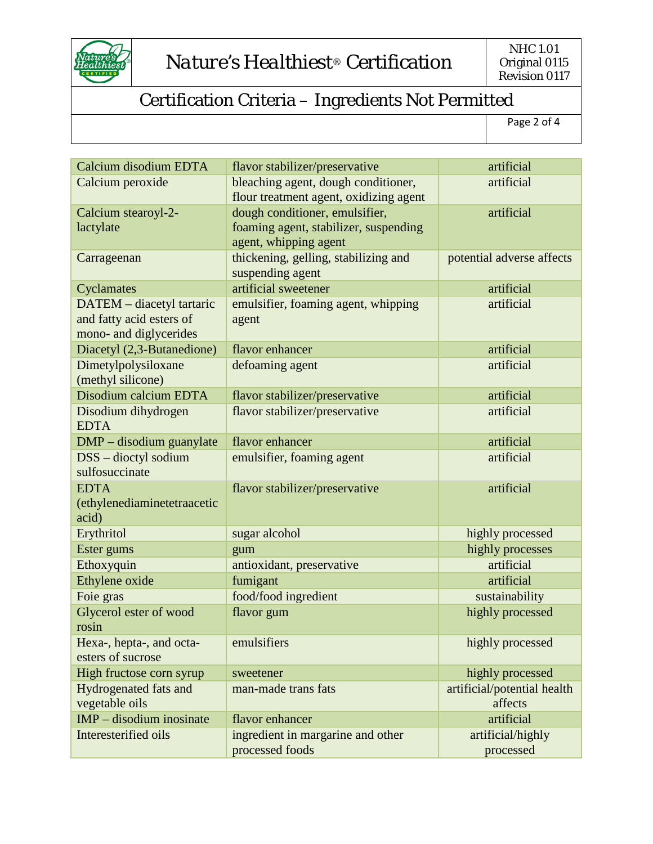

Page 2 of 4

| Calcium disodium EDTA                                                           | flavor stabilizer/preservative                                                                   | artificial                             |
|---------------------------------------------------------------------------------|--------------------------------------------------------------------------------------------------|----------------------------------------|
| Calcium peroxide                                                                | bleaching agent, dough conditioner,<br>flour treatment agent, oxidizing agent                    | artificial                             |
| Calcium stearoyl-2-<br>lactylate                                                | dough conditioner, emulsifier,<br>foaming agent, stabilizer, suspending<br>agent, whipping agent | artificial                             |
| Carrageenan                                                                     | thickening, gelling, stabilizing and<br>suspending agent                                         | potential adverse affects              |
| Cyclamates                                                                      | artificial sweetener                                                                             | artificial                             |
| DATEM - diacetyl tartaric<br>and fatty acid esters of<br>mono- and diglycerides | emulsifier, foaming agent, whipping<br>agent                                                     | artificial                             |
| Diacetyl (2,3-Butanedione)                                                      | flavor enhancer                                                                                  | artificial                             |
| Dimetylpolysiloxane<br>(methyl silicone)                                        | defoaming agent                                                                                  | artificial                             |
| Disodium calcium EDTA                                                           | flavor stabilizer/preservative                                                                   | artificial                             |
| Disodium dihydrogen<br><b>EDTA</b>                                              | flavor stabilizer/preservative                                                                   | artificial                             |
| DMP – disodium guanylate                                                        | flavor enhancer                                                                                  | artificial                             |
| DSS - dioctyl sodium<br>sulfosuccinate                                          | emulsifier, foaming agent                                                                        | artificial                             |
| <b>EDTA</b><br>(ethylenediaminetetraacetic<br>acid)                             | flavor stabilizer/preservative                                                                   | artificial                             |
| Erythritol                                                                      | sugar alcohol                                                                                    | highly processed                       |
| Ester gums                                                                      | gum                                                                                              | highly processes                       |
| Ethoxyquin                                                                      | antioxidant, preservative                                                                        | artificial                             |
| Ethylene oxide                                                                  | fumigant                                                                                         | artificial                             |
| Foie gras                                                                       | food/food ingredient                                                                             | sustainability                         |
| Glycerol ester of wood<br>rosin                                                 | flavor gum                                                                                       | highly processed                       |
| Hexa-, hepta-, and octa-<br>esters of sucrose                                   | emulsifiers                                                                                      | highly processed                       |
| High fructose corn syrup                                                        | sweetener                                                                                        | highly processed                       |
| Hydrogenated fats and<br>vegetable oils                                         | man-made trans fats                                                                              | artificial/potential health<br>affects |
| $IMP - discount$ inosinate                                                      | flavor enhancer                                                                                  | artificial                             |
| Interesterified oils                                                            | ingredient in margarine and other<br>processed foods                                             | artificial/highly<br>processed         |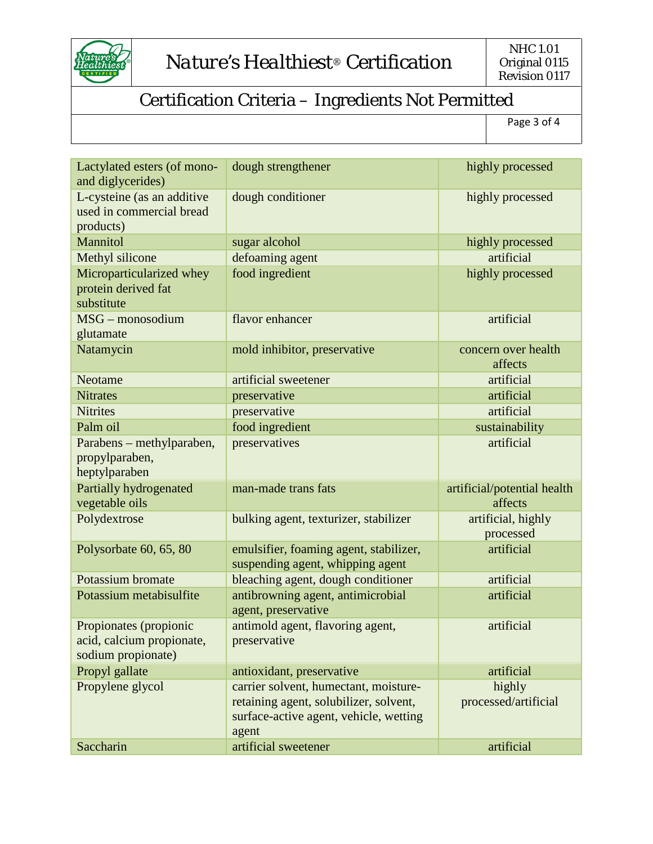

Page 3 of 4

| ı<br>۰. |  |  |
|---------|--|--|
|         |  |  |
|         |  |  |
|         |  |  |
|         |  |  |

| Lactylated esters (of mono-<br>and diglycerides)                          | dough strengthener                                                                                                                 | highly processed                       |
|---------------------------------------------------------------------------|------------------------------------------------------------------------------------------------------------------------------------|----------------------------------------|
| L-cysteine (as an additive<br>used in commercial bread<br>products)       | dough conditioner                                                                                                                  | highly processed                       |
| Mannitol                                                                  | sugar alcohol                                                                                                                      | highly processed                       |
| Methyl silicone                                                           | defoaming agent                                                                                                                    | artificial                             |
| Microparticularized whey<br>protein derived fat<br>substitute             | food ingredient                                                                                                                    | highly processed                       |
| MSG - monosodium<br>glutamate                                             | flavor enhancer                                                                                                                    | artificial                             |
| Natamycin                                                                 | mold inhibitor, preservative                                                                                                       | concern over health<br>affects         |
| Neotame                                                                   | artificial sweetener                                                                                                               | artificial                             |
| <b>Nitrates</b>                                                           | preservative                                                                                                                       | artificial                             |
| <b>Nitrites</b>                                                           | preservative                                                                                                                       | artificial                             |
| Palm oil                                                                  | food ingredient                                                                                                                    | sustainability                         |
| Parabens – methylparaben,<br>propylparaben,<br>heptylparaben              | preservatives                                                                                                                      | artificial                             |
| Partially hydrogenated<br>vegetable oils                                  | man-made trans fats                                                                                                                | artificial/potential health<br>affects |
| Polydextrose                                                              | bulking agent, texturizer, stabilizer                                                                                              | artificial, highly<br>processed        |
| Polysorbate 60, 65, 80                                                    | emulsifier, foaming agent, stabilizer,<br>suspending agent, whipping agent                                                         | artificial                             |
| Potassium bromate                                                         | bleaching agent, dough conditioner                                                                                                 | artificial                             |
| Potassium metabisulfite                                                   | antibrowning agent, antimicrobial<br>agent, preservative                                                                           | artificial                             |
| Propionates (propionic<br>acid, calcium propionate,<br>sodium propionate) | antimold agent, flavoring agent,<br>preservative                                                                                   | artificial                             |
| Propyl gallate                                                            | antioxidant, preservative                                                                                                          | artificial                             |
| Propylene glycol                                                          | carrier solvent, humectant, moisture-<br>retaining agent, solubilizer, solvent,<br>surface-active agent, vehicle, wetting<br>agent | highly<br>processed/artificial         |
| Saccharin                                                                 | artificial sweetener                                                                                                               | artificial                             |